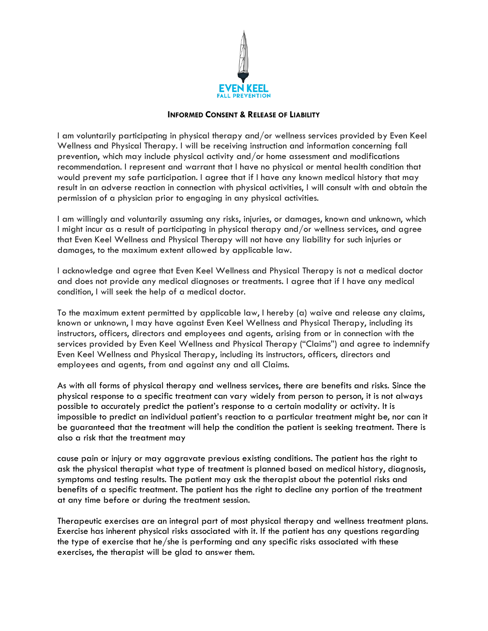

## **INFORMED CONSENT & RELEASE OF LIABILITY**

I am voluntarily participating in physical therapy and/or wellness services provided by Even Keel Wellness and Physical Therapy. I will be receiving instruction and information concerning fall prevention, which may include physical activity and/or home assessment and modifications recommendation. I represent and warrant that I have no physical or mental health condition that would prevent my safe participation. I agree that if I have any known medical history that may result in an adverse reaction in connection with physical activities, I will consult with and obtain the permission of a physician prior to engaging in any physical activities.

I am willingly and voluntarily assuming any risks, injuries, or damages, known and unknown, which I might incur as a result of participating in physical therapy and/or wellness services, and agree that Even Keel Wellness and Physical Therapy will not have any liability for such injuries or damages, to the maximum extent allowed by applicable law.

I acknowledge and agree that Even Keel Wellness and Physical Therapy is not a medical doctor and does not provide any medical diagnoses or treatments. I agree that if I have any medical condition, I will seek the help of a medical doctor.

To the maximum extent permitted by applicable law, I hereby (a) waive and release any claims, known or unknown, I may have against Even Keel Wellness and Physical Therapy, including its instructors, officers, directors and employees and agents, arising from or in connection with the services provided by Even Keel Wellness and Physical Therapy ("Claims") and agree to indemnify Even Keel Wellness and Physical Therapy, including its instructors, officers, directors and employees and agents, from and against any and all Claims.

As with all forms of physical therapy and wellness services, there are benefits and risks. Since the physical response to a specific treatment can vary widely from person to person, it is not always possible to accurately predict the patient's response to a certain modality or activity. It is impossible to predict an individual patient's reaction to a particular treatment might be, nor can it be guaranteed that the treatment will help the condition the patient is seeking treatment. There is also a risk that the treatment may

cause pain or injury or may aggravate previous existing conditions. The patient has the right to ask the physical therapist what type of treatment is planned based on medical history, diagnosis, symptoms and testing results. The patient may ask the therapist about the potential risks and benefits of a specific treatment. The patient has the right to decline any portion of the treatment at any time before or during the treatment session.

Therapeutic exercises are an integral part of most physical therapy and wellness treatment plans. Exercise has inherent physical risks associated with it. If the patient has any questions regarding the type of exercise that he/she is performing and any specific risks associated with these exercises, the therapist will be glad to answer them.